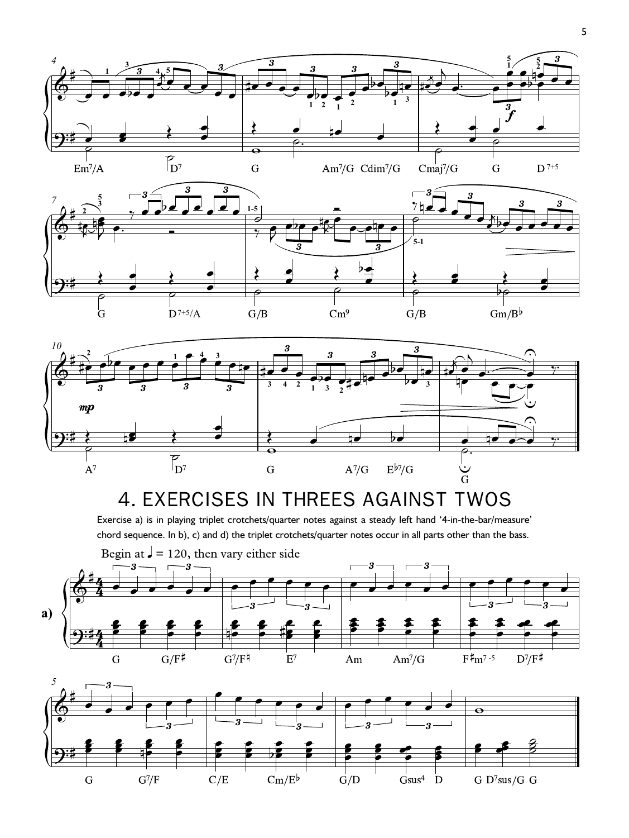



## 4. EXERCISES IN THREES AGAINST TWOS

Exercise a) is in playing triplet crotchets/quarter notes against a steady left hand '4-in-the-bar/measure' chord sequence. In b), c) and d) the triplet crotchets/quarter notes occur in all parts other than the bass.



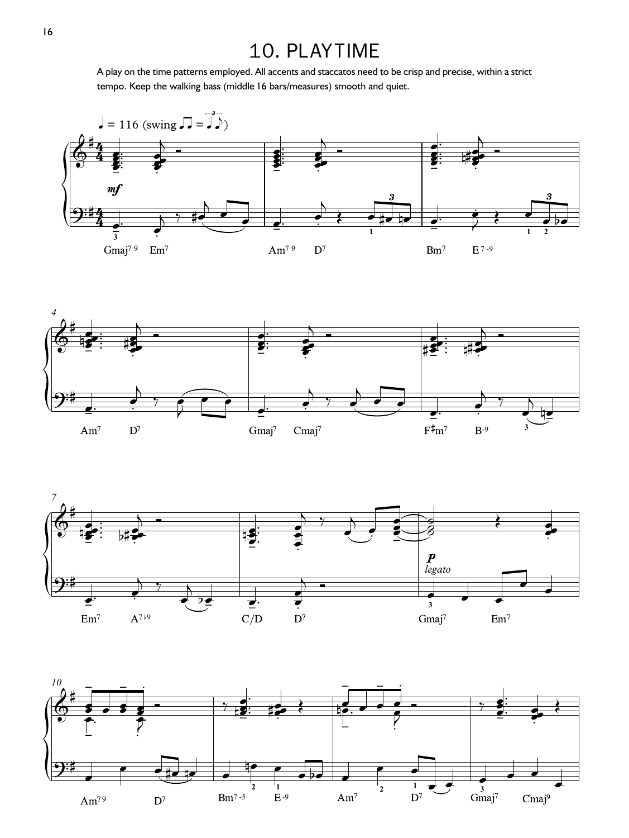## 10. PLAYTIME

A play on the time patterns employed. All accents and staccatos need to be crisp and precise, within a strict tempo. Keep the walking bass (middle 16 bars/measures) smooth and quiet.